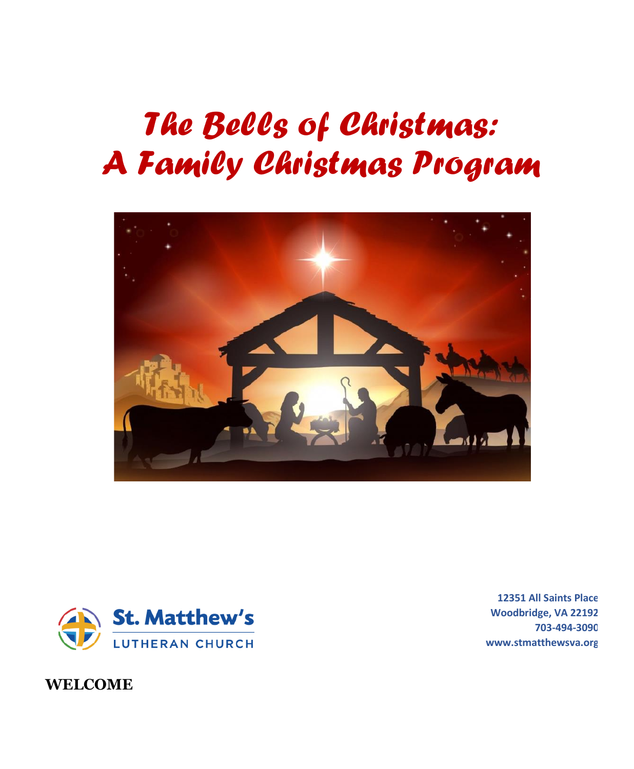# *The Bells of Christmas: A Family Christmas Program*





**Woodbridge, VA 22192 703-494-3090 www.stmatthewsva.org**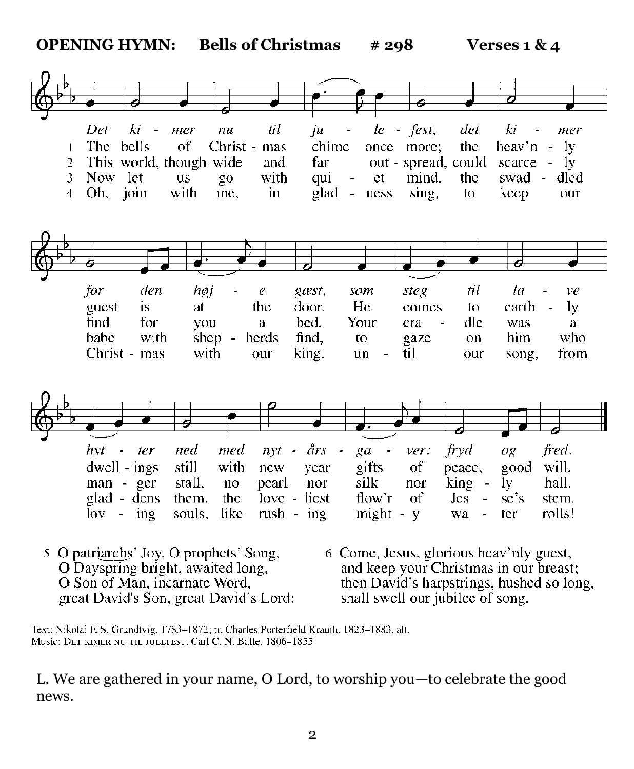

- 5 O patriarchs' Joy, O prophets' Song, O Dayspring bright, awaited long, O Son of Man, incarnate Word, great David's Son, great David's Lord:
- 6 Come, Jesus, glorious heav'nly guest, and keep your Christmas in our breast; then David's harpstrings, hushed so long, shall swell our jubilee of song.

Text: Nikolai F. S. Grundtvig, 1783-1872; tr. Charles Porterfield Krauth, 1823-1883, alt. Music: DET KIMER NU TIL JULEFEST, Carl C. N. Balle, 1806-1855

L. We are gathered in your name, O Lord, to worship you—to celebrate the good news.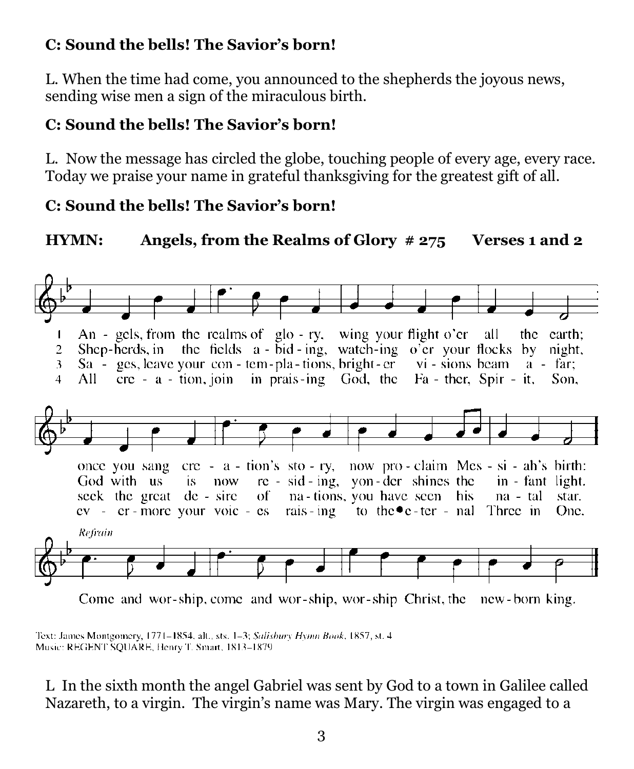# **C: Sound the bells! The Savior's born!**

L. When the time had come, you announced to the shepherds the joyous news, sending wise men a sign of the miraculous birth.

# **C: Sound the bells! The Savior's born!**

L. Now the message has circled the globe, touching people of every age, every race. Today we praise your name in grateful thanksgiving for the greatest gift of all.

# **C: Sound the bells! The Savior's born!**

# **HYMN: Angels, from the Realms of Glory # 275 Verses 1 and 2**



Come and wor-ship, come and wor-ship, wor-ship Christ, the new-born king.

Text: James Montgomery, 1771-1854, alt., sts. 1-3; Salisbury Hymn Book, 1857, st. 4 Music: REGENT SQUARE, Henry T. Smart, 1813-1879

L In the sixth month the angel Gabriel was sent by God to a town in Galilee called Nazareth, to a virgin. The virgin's name was Mary. The virgin was engaged to a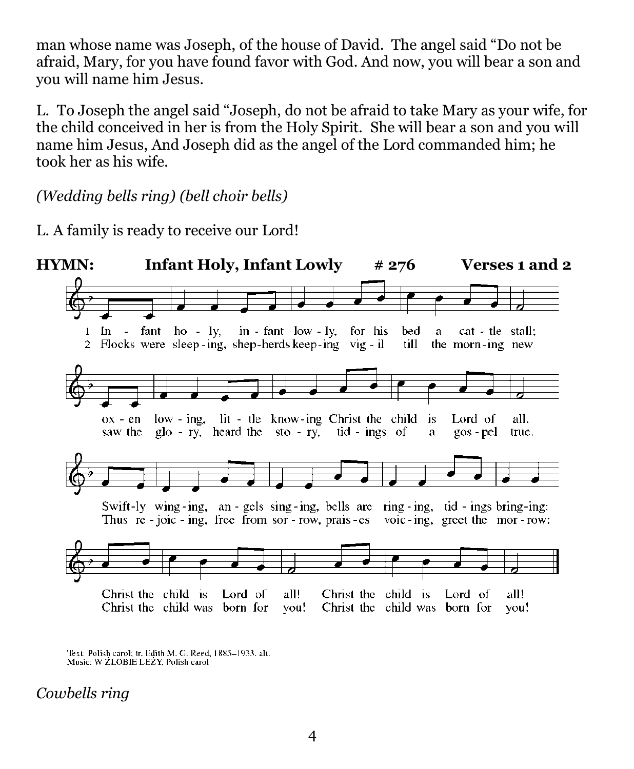man whose name was Joseph, of the house of David. The angel said "Do not be afraid, Mary, for you have found favor with God. And now, you will bear a son and you will name him Jesus.

L. To Joseph the angel said "Joseph, do not be afraid to take Mary as your wife, for the child conceived in her is from the Holy Spirit. She will bear a son and you will name him Jesus, And Joseph did as the angel of the Lord commanded him; he took her as his wife.

*(Wedding bells ring) (bell choir bells)*

L. A family is ready to receive our Lord!



Text: Polish carol; tr. Edith M. G. Reed, 1885-1933, alt. Music: W ZLOBIE LEZY, Polish carol

*Cowbells ring*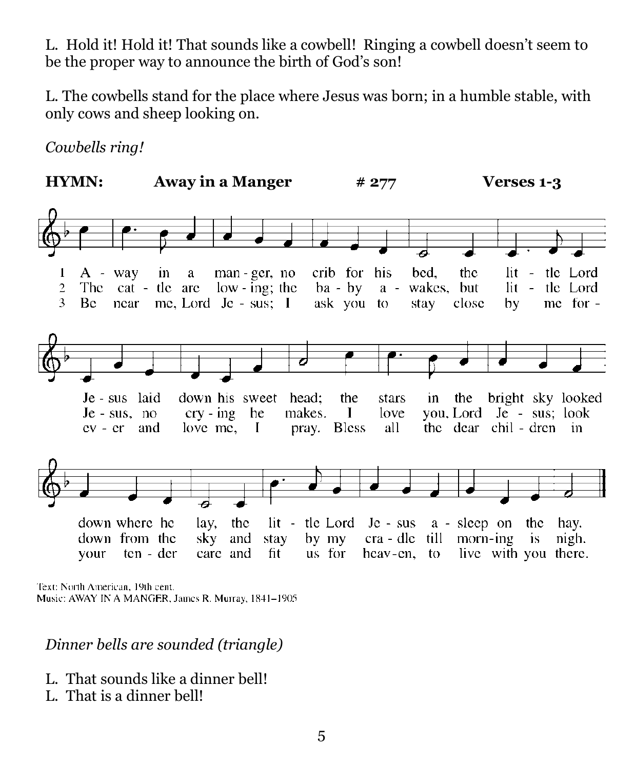L. Hold it! Hold it! That sounds like a cowbell! Ringing a cowbell doesn't seem to be the proper way to announce the birth of God's son!

L. The cowbells stand for the place where Jesus was born; in a humble stable, with only cows and sheep looking on.

*Cowbells ring!*



Text: North American, 19th cent. Music: AWAY IN A MANGER, James R. Murray, 1841-1905

#### *Dinner bells are sounded (triangle)*

- L. That sounds like a dinner bell!
- L. That is a dinner bell!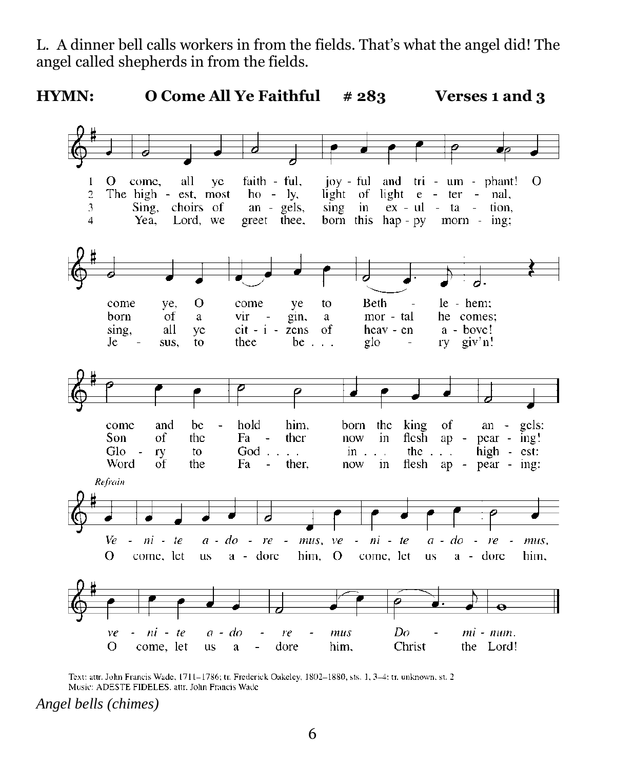L. A dinner bell calls workers in from the fields. That's what the angel did! The angel called shepherds in from the fields.



Text: attr. John Francis Wade, 1711-1786; tr. Frederick Oakeley, 1802-1880, sts. 1, 3-4; tr. unknown, st. 2 Music: ADESTE FIDELES, attr. John Francis Wade

*Angel bells (chimes)*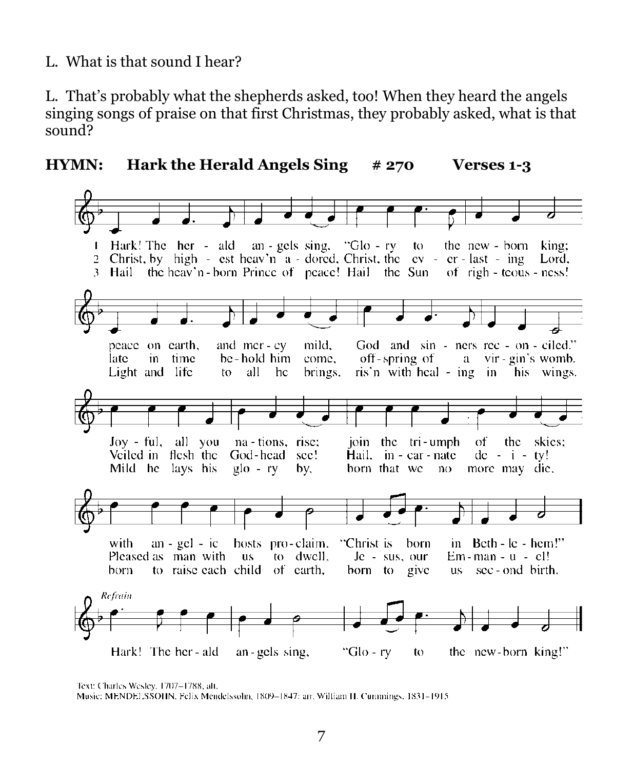L. What is that sound I hear?

L. That's probably what the shepherds asked, too! When they heard the angels singing songs of praise on that first Christmas, they probably asked, what is that sound?





Text: Charles Wesley, 1707-1788, alt.

Music: MENDELSSOHN, Felix Mendelssohn, 1809-1847; arr. William H. Cummings, 1831-1915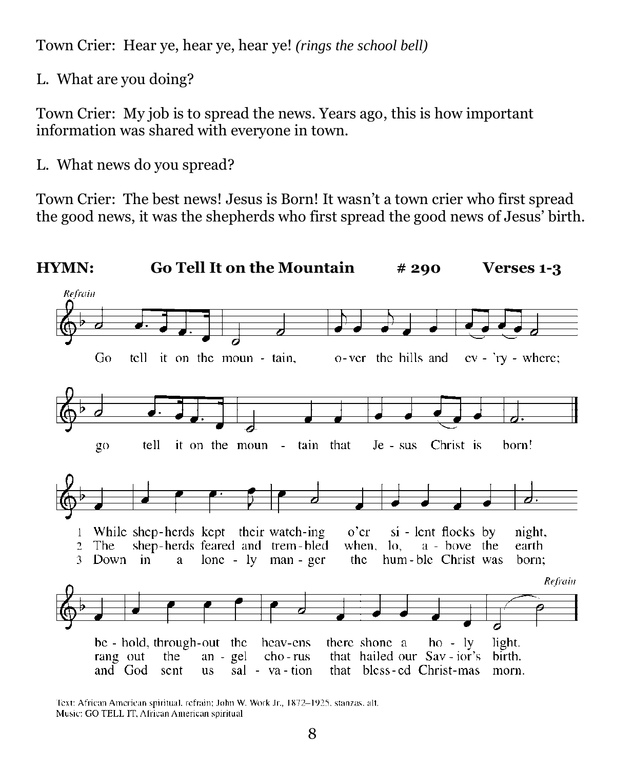Town Crier: Hear ye, hear ye, hear ye! *(rings the school bell)*

L. What are you doing?

Town Crier: My job is to spread the news. Years ago, this is how important information was shared with everyone in town.

L. What news do you spread?

Town Crier: The best news! Jesus is Born! It wasn't a town crier who first spread the good news, it was the shepherds who first spread the good news of Jesus' birth.



Text: African American spiritual, refrain; John W. Work Jr., 1872-1925, stanzas, alt. Music: GO TELL IT, African American spiritual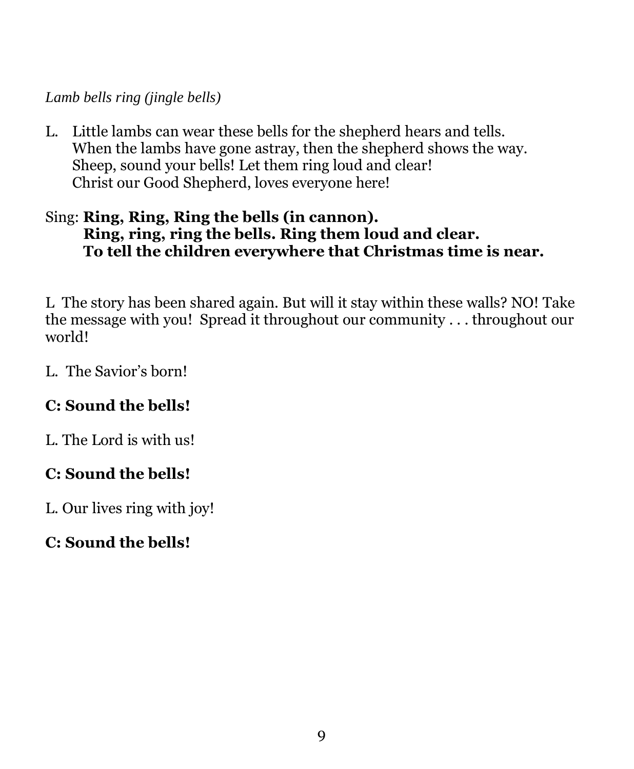#### *Lamb bells ring (jingle bells)*

L. Little lambs can wear these bells for the shepherd hears and tells. When the lambs have gone astray, then the shepherd shows the way. Sheep, sound your bells! Let them ring loud and clear! Christ our Good Shepherd, loves everyone here!

#### Sing: **Ring, Ring, Ring the bells (in cannon). Ring, ring, ring the bells. Ring them loud and clear. To tell the children everywhere that Christmas time is near.**

L The story has been shared again. But will it stay within these walls? NO! Take the message with you! Spread it throughout our community . . . throughout our world!

L. The Savior's born!

## **C: Sound the bells!**

L. The Lord is with us!

## **C: Sound the bells!**

L. Our lives ring with joy!

## **C: Sound the bells!**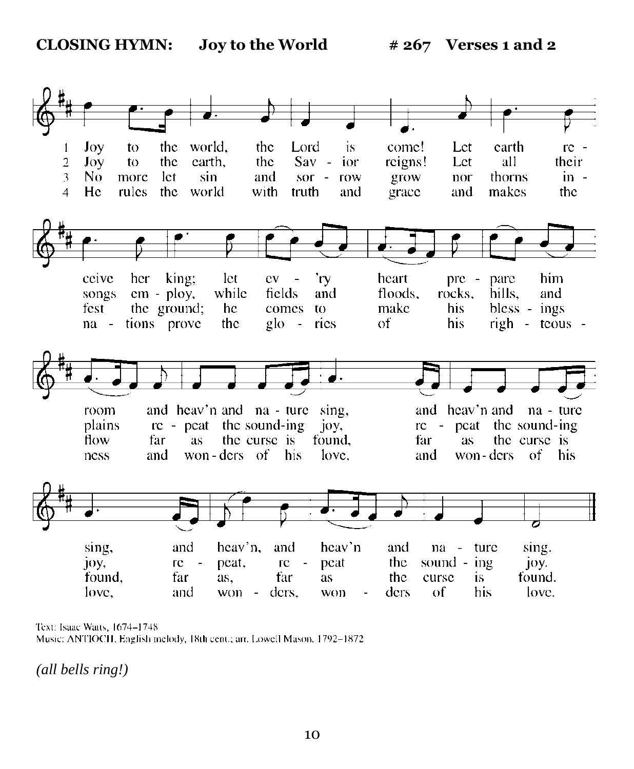

Text: Isaac Watts, 1674-1748 Music: ANTIOCH, English melody, 18th cent.; arr. Lowell Mason, 1792-1872.

*(all bells ring!)*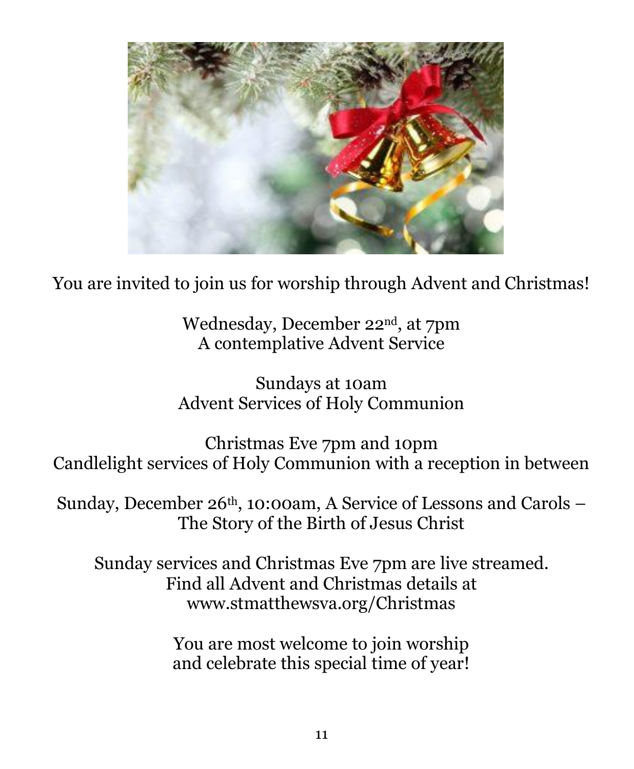

You are invited to join us for worship through Advent and Christmas!

Wednesday, December 22nd, at 7pm A contemplative Advent Service

Sundays at 10am Advent Services of Holy Communion

Christmas Eve 7pm and 10pm Candlelight services of Holy Communion with a reception in between

Sunday, December 26<sup>th</sup>, 10:00am, A Service of Lessons and Carols – The Story of the Birth of Jesus Christ

Sunday services and Christmas Eve 7pm are live streamed. Find all Advent and Christmas details at www.stmatthewsva.org/Christmas

> You are most welcome to join worship and celebrate this special time of year!